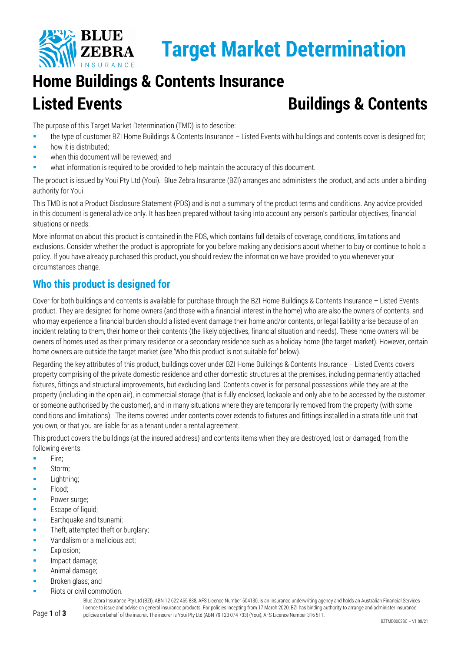

# **Home Buildings & Contents Insurance Listed Events Buildings & Contents**

The purpose of this Target Market Determination (TMD) is to describe:

- the type of customer BZI Home Buildings & Contents Insurance Listed Events with buildings and contents cover is designed for;
- how it is distributed;
- when this document will be reviewed; and
- what information is required to be provided to help maintain the accuracy of this document.

The product is issued by Youi Pty Ltd (Youi). Blue Zebra Insurance (BZI) arranges and administers the product, and acts under a binding authority for Youi.

This TMD is not a Product Disclosure Statement (PDS) and is not a summary of the product terms and conditions. Any advice provided in this document is general advice only. It has been prepared without taking into account any person's particular objectives, financial situations or needs.

More information about this product is contained in the PDS, which contains full details of coverage, conditions, limitations and exclusions. Consider whether the product is appropriate for you before making any decisions about whether to buy or continue to hold a policy. If you have already purchased this product, you should review the information we have provided to you whenever your circumstances change.

# **Who this product is designed for**

Cover for both buildings and contents is available for purchase through the BZI Home Buildings & Contents Insurance – Listed Events product. They are designed for home owners (and those with a financial interest in the home) who are also the owners of contents, and who may experience a financial burden should a listed event damage their home and/or contents, or legal liability arise because of an incident relating to them, their home or their contents (the likely objectives, financial situation and needs). These home owners will be owners of homes used as their primary residence or a secondary residence such as a holiday home (the target market). However, certain home owners are outside the target market (see 'Who this product is not suitable for' below).

Regarding the key attributes of this product, buildings cover under BZI Home Buildings & Contents Insurance – Listed Events covers property comprising of the private domestic residence and other domestic structures at the premises, including permanently attached fixtures, fittings and structural improvements, but excluding land. Contents cover is for personal possessions while they are at the property (including in the open air), in commercial storage (that is fully enclosed, lockable and only able to be accessed by the customer or someone authorised by the customer), and in many situations where they are temporarily removed from the property (with some conditions and limitations). The items covered under contents cover extends to fixtures and fittings installed in a strata title unit that you own, or that you are liable for as a tenant under a rental agreement.

This product covers the buildings (at the insured address) and contents items when they are destroyed, lost or damaged, from the following events:

- $Fire:$
- Storm;
- Lightning;
- Flood;
- **Power surge;**
- Escape of liquid;
- Earthquake and tsunami;
- Theft, attempted theft or burglary;
- **Vandalism or a malicious act:**
- Explosion;
- Impact damage;
- Animal damage;
- Broken glass; and
- Riots or civil commotion.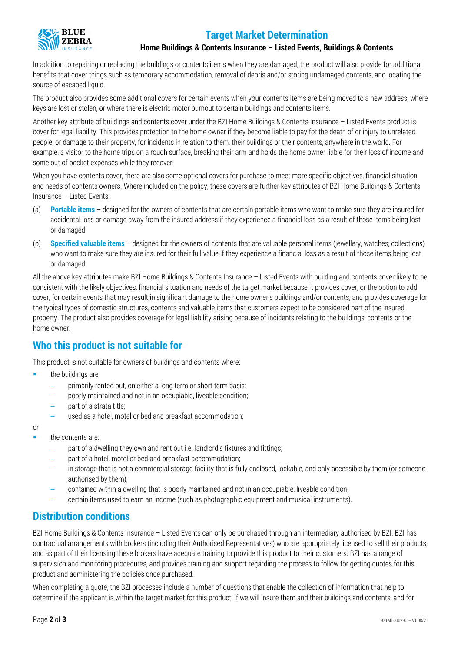## **Target Market Determination**



#### **Home Buildings & Contents Insurance – Listed Events, Buildings & Contents**

In addition to repairing or replacing the buildings or contents items when they are damaged, the product will also provide for additional benefits that cover things such as temporary accommodation, removal of debris and/or storing undamaged contents, and locating the source of escaped liquid.

The product also provides some additional covers for certain events when your contents items are being moved to a new address, where keys are lost or stolen, or where there is electric motor burnout to certain buildings and contents items.

Another key attribute of buildings and contents cover under the BZI Home Buildings & Contents Insurance – Listed Events product is cover for legal liability. This provides protection to the home owner if they become liable to pay for the death of or injury to unrelated people, or damage to their property, for incidents in relation to them, their buildings or their contents, anywhere in the world. For example, a visitor to the home trips on a rough surface, breaking their arm and holds the home owner liable for their loss of income and some out of pocket expenses while they recover.

When you have contents cover, there are also some optional covers for purchase to meet more specific objectives, financial situation and needs of contents owners. Where included on the policy, these covers are further key attributes of BZI Home Buildings & Contents Insurance – Listed Events:

- (a) **Portable items** designed for the owners of contents that are certain portable items who want to make sure they are insured for accidental loss or damage away from the insured address if they experience a financial loss as a result of those items being lost or damaged.
- (b) **Specified valuable items** designed for the owners of contents that are valuable personal items (jewellery, watches, collections) who want to make sure they are insured for their full value if they experience a financial loss as a result of those items being lost or damaged.

All the above key attributes make BZI Home Buildings & Contents Insurance – Listed Events with building and contents cover likely to be consistent with the likely objectives, financial situation and needs of the target market because it provides cover, or the option to add cover, for certain events that may result in significant damage to the home owner's buildings and/or contents, and provides coverage for the typical types of domestic structures, contents and valuable items that customers expect to be considered part of the insured property. The product also provides coverage for legal liability arising because of incidents relating to the buildings, contents or the home owner.

#### **Who this product is not suitable for**

This product is not suitable for owners of buildings and contents where:

- the buildings are
	- primarily rented out, on either a long term or short term basis;
	- − poorly maintained and not in an occupiable, liveable condition;
	- part of a strata title;
	- used as a hotel, motel or bed and breakfast accommodation;

or

- the contents are:
	- part of a dwelling they own and rent out i.e. landlord's fixtures and fittings;
	- part of a hotel, motel or bed and breakfast accommodation;
	- − in storage that is not a commercial storage facility that is fully enclosed, lockable, and only accessible by them (or someone authorised by them);
	- − contained within a dwelling that is poorly maintained and not in an occupiable, liveable condition;
	- − certain items used to earn an income (such as photographic equipment and musical instruments).

#### **Distribution conditions**

BZI Home Buildings & Contents Insurance – Listed Events can only be purchased through an intermediary authorised by BZI. BZI has contractual arrangements with brokers (including their Authorised Representatives) who are appropriately licensed to sell their products, and as part of their licensing these brokers have adequate training to provide this product to their customers. BZI has a range of supervision and monitoring procedures, and provides training and support regarding the process to follow for getting quotes for this product and administering the policies once purchased.

When completing a quote, the BZI processes include a number of questions that enable the collection of information that help to determine if the applicant is within the target market for this product, if we will insure them and their buildings and contents, and for